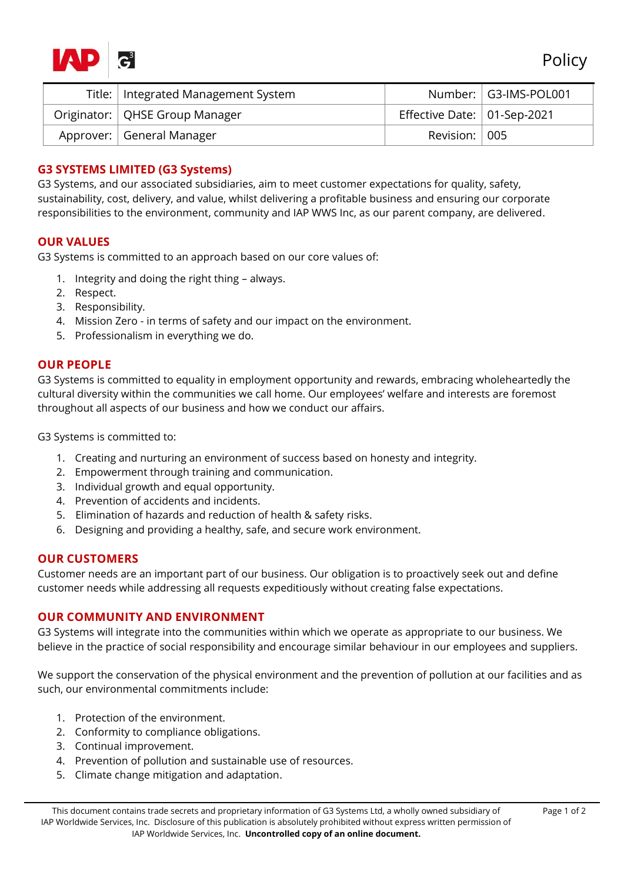

Policy

| Title:   Integrated Management System |                             | Number:   G3-IMS-POL001 |
|---------------------------------------|-----------------------------|-------------------------|
| Originator:   QHSE Group Manager      | Effective Date: 01-Sep-2021 |                         |
| Approver:   General Manager           | Revision: 005               |                         |

# **G3 SYSTEMS LIMITED (G3 Systems)**

G3 Systems, and our associated subsidiaries, aim to meet customer expectations for quality, safety, sustainability, cost, delivery, and value, whilst delivering a profitable business and ensuring our corporate responsibilities to the environment, community and IAP WWS Inc, as our parent company, are delivered.

## **OUR VALUES**

G3 Systems is committed to an approach based on our core values of:

- 1. Integrity and doing the right thing always.
- 2. Respect.
- 3. Responsibility.
- 4. Mission Zero in terms of safety and our impact on the environment.
- 5. Professionalism in everything we do.

## **OUR PEOPLE**

G3 Systems is committed to equality in employment opportunity and rewards, embracing wholeheartedly the cultural diversity within the communities we call home. Our employees' welfare and interests are foremost throughout all aspects of our business and how we conduct our affairs.

G3 Systems is committed to:

- 1. Creating and nurturing an environment of success based on honesty and integrity.
- 2. Empowerment through training and communication.
- 3. Individual growth and equal opportunity.
- 4. Prevention of accidents and incidents.
- 5. Elimination of hazards and reduction of health & safety risks.
- 6. Designing and providing a healthy, safe, and secure work environment.

## **OUR CUSTOMERS**

Customer needs are an important part of our business. Our obligation is to proactively seek out and define customer needs while addressing all requests expeditiously without creating false expectations.

#### **OUR COMMUNITY AND ENVIRONMENT**

G3 Systems will integrate into the communities within which we operate as appropriate to our business. We believe in the practice of social responsibility and encourage similar behaviour in our employees and suppliers.

We support the conservation of the physical environment and the prevention of pollution at our facilities and as such, our environmental commitments include:

- 1. Protection of the environment.
- 2. Conformity to compliance obligations.
- 3. Continual improvement.
- 4. Prevention of pollution and sustainable use of resources.
- 5. Climate change mitigation and adaptation.